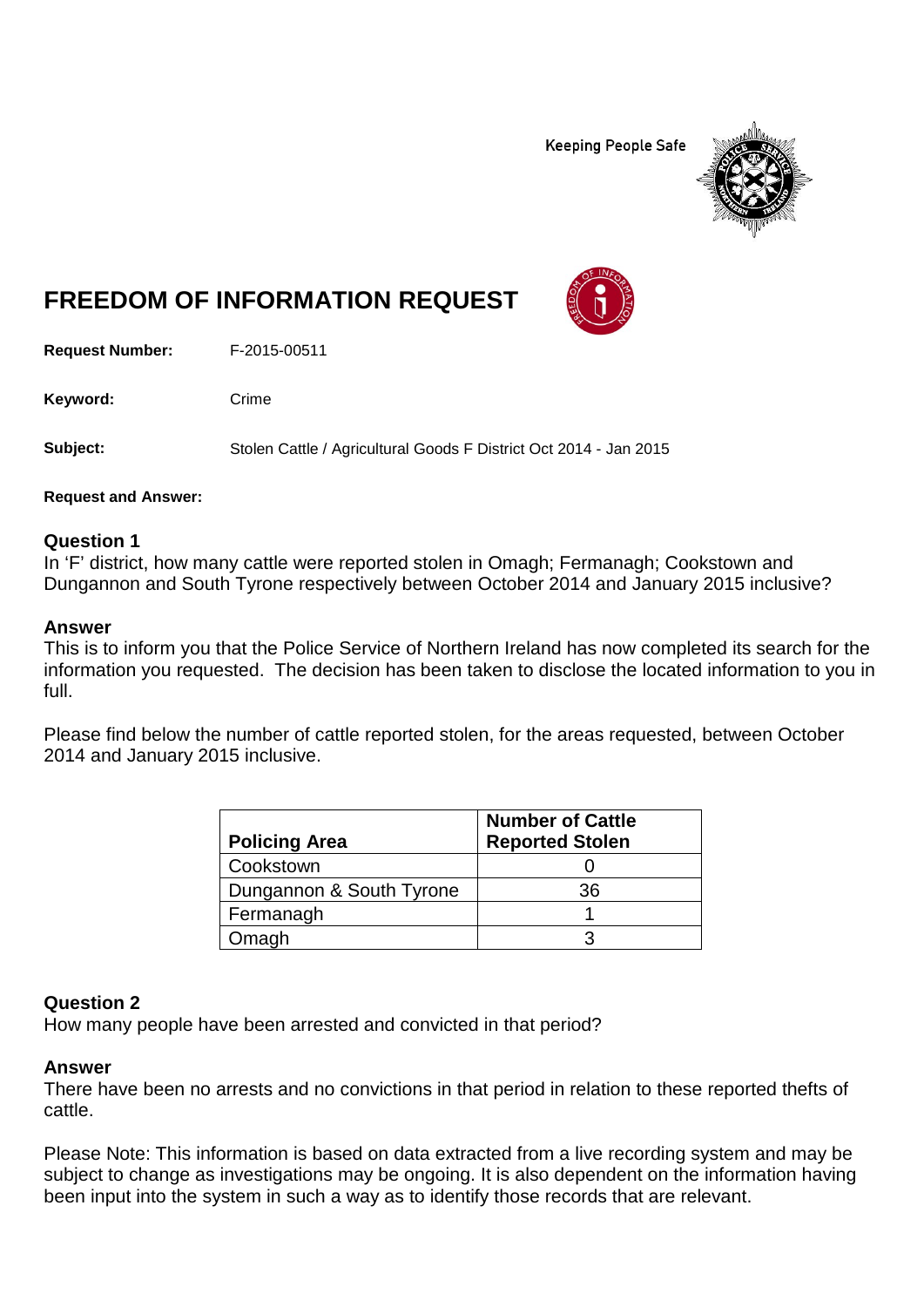**Keeping People Safe** 



# **FREEDOM OF INFORMATION REQUEST**

**Request Number:** F-2015-00511

Keyword: Crime

**Subject:** Stolen Cattle / Agricultural Goods F District Oct 2014 - Jan 2015

**Request and Answer:**

#### **Question 1**

In 'F' district, how many cattle were reported stolen in Omagh; Fermanagh; Cookstown and Dungannon and South Tyrone respectively between October 2014 and January 2015 inclusive?

#### **Answer**

This is to inform you that the Police Service of Northern Ireland has now completed its search for the information you requested. The decision has been taken to disclose the located information to you in full.

Please find below the number of cattle reported stolen, for the areas requested, between October 2014 and January 2015 inclusive.

| <b>Policing Area</b>     | <b>Number of Cattle</b><br><b>Reported Stolen</b> |
|--------------------------|---------------------------------------------------|
| Cookstown                |                                                   |
| Dungannon & South Tyrone | 36                                                |
| Fermanagh                |                                                   |
| Omagh                    |                                                   |

## **Question 2**

How many people have been arrested and convicted in that period?

## **Answer**

There have been no arrests and no convictions in that period in relation to these reported thefts of cattle.

Please Note: This information is based on data extracted from a live recording system and may be subject to change as investigations may be ongoing. It is also dependent on the information having been input into the system in such a way as to identify those records that are relevant.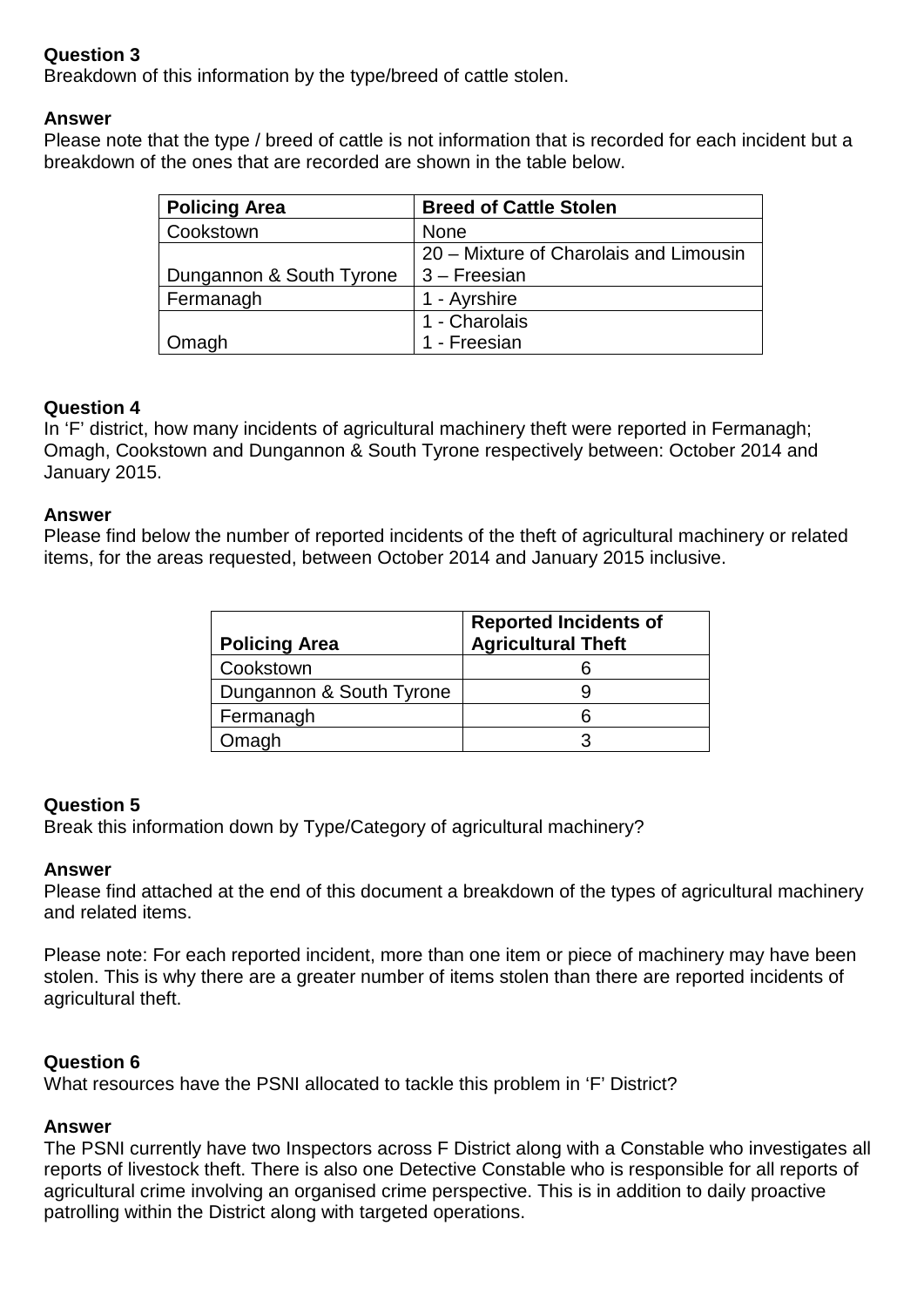# **Question 3**

Breakdown of this information by the type/breed of cattle stolen.

## **Answer**

Please note that the type / breed of cattle is not information that is recorded for each incident but a breakdown of the ones that are recorded are shown in the table below.

| <b>Policing Area</b>     | <b>Breed of Cattle Stolen</b>          |
|--------------------------|----------------------------------------|
| Cookstown                | <b>None</b>                            |
|                          | 20 – Mixture of Charolais and Limousin |
| Dungannon & South Tyrone | $3 - F$ reesian                        |
| Fermanagh                | 1 - Ayrshire                           |
|                          | 1 - Charolais                          |
| Omagh                    | 1 - Freesian                           |

# **Question 4**

In 'F' district, how many incidents of agricultural machinery theft were reported in Fermanagh; Omagh, Cookstown and Dungannon & South Tyrone respectively between: October 2014 and January 2015.

## **Answer**

Please find below the number of reported incidents of the theft of agricultural machinery or related items, for the areas requested, between October 2014 and January 2015 inclusive.

| <b>Policing Area</b>     | <b>Reported Incidents of</b><br><b>Agricultural Theft</b> |
|--------------------------|-----------------------------------------------------------|
| Cookstown                |                                                           |
| Dungannon & South Tyrone |                                                           |
| Fermanagh                | 6                                                         |
| Omagh                    |                                                           |

# **Question 5**

Break this information down by Type/Category of agricultural machinery?

## **Answer**

Please find attached at the end of this document a breakdown of the types of agricultural machinery and related items.

Please note: For each reported incident, more than one item or piece of machinery may have been stolen. This is why there are a greater number of items stolen than there are reported incidents of agricultural theft.

## **Question 6**

What resources have the PSNI allocated to tackle this problem in 'F' District?

## **Answer**

The PSNI currently have two Inspectors across F District along with a Constable who investigates all reports of livestock theft. There is also one Detective Constable who is responsible for all reports of agricultural crime involving an organised crime perspective. This is in addition to daily proactive patrolling within the District along with targeted operations.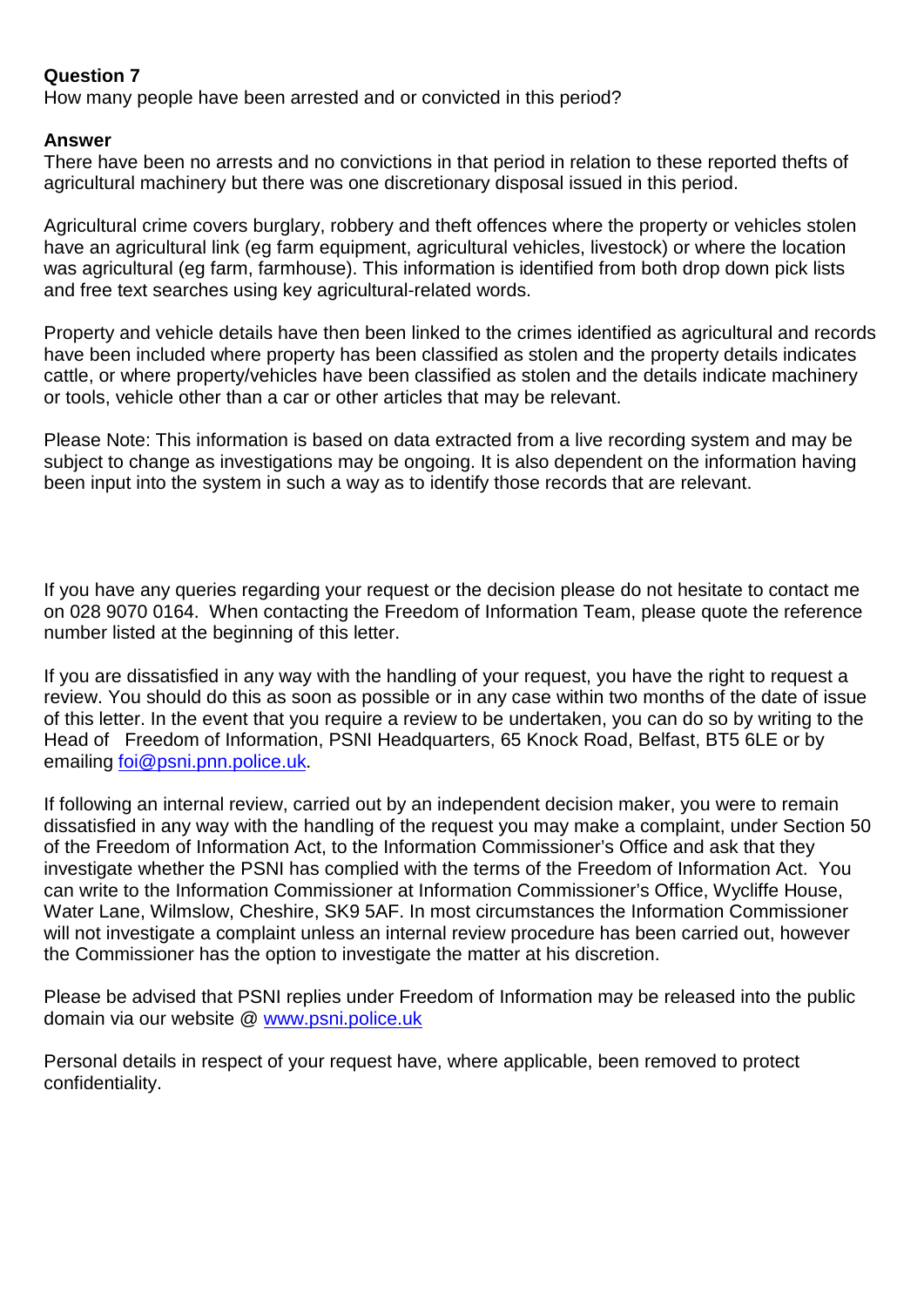## **Question 7**

How many people have been arrested and or convicted in this period?

#### **Answer**

There have been no arrests and no convictions in that period in relation to these reported thefts of agricultural machinery but there was one discretionary disposal issued in this period.

Agricultural crime covers burglary, robbery and theft offences where the property or vehicles stolen have an agricultural link (eg farm equipment, agricultural vehicles, livestock) or where the location was agricultural (eg farm, farmhouse). This information is identified from both drop down pick lists and free text searches using key agricultural-related words.

Property and vehicle details have then been linked to the crimes identified as agricultural and records have been included where property has been classified as stolen and the property details indicates cattle, or where property/vehicles have been classified as stolen and the details indicate machinery or tools, vehicle other than a car or other articles that may be relevant.

Please Note: This information is based on data extracted from a live recording system and may be subject to change as investigations may be ongoing. It is also dependent on the information having been input into the system in such a way as to identify those records that are relevant.

If you have any queries regarding your request or the decision please do not hesitate to contact me on 028 9070 0164. When contacting the Freedom of Information Team, please quote the reference number listed at the beginning of this letter.

If you are dissatisfied in any way with the handling of your request, you have the right to request a review. You should do this as soon as possible or in any case within two months of the date of issue of this letter. In the event that you require a review to be undertaken, you can do so by writing to the Head of Freedom of Information, PSNI Headquarters, 65 Knock Road, Belfast, BT5 6LE or by emailing [foi@psni.pnn.police.uk.](mailto:foi@psni.pnn.police.uk)

If following an internal review, carried out by an independent decision maker, you were to remain dissatisfied in any way with the handling of the request you may make a complaint, under Section 50 of the Freedom of Information Act, to the Information Commissioner's Office and ask that they investigate whether the PSNI has complied with the terms of the Freedom of Information Act. You can write to the Information Commissioner at Information Commissioner's Office, Wycliffe House, Water Lane, Wilmslow, Cheshire, SK9 5AF. In most circumstances the Information Commissioner will not investigate a complaint unless an internal review procedure has been carried out, however the Commissioner has the option to investigate the matter at his discretion.

Please be advised that PSNI replies under Freedom of Information may be released into the public domain via our website @ [www.psni.police.uk](http://www.psni.police.uk/)

Personal details in respect of your request have, where applicable, been removed to protect confidentiality.